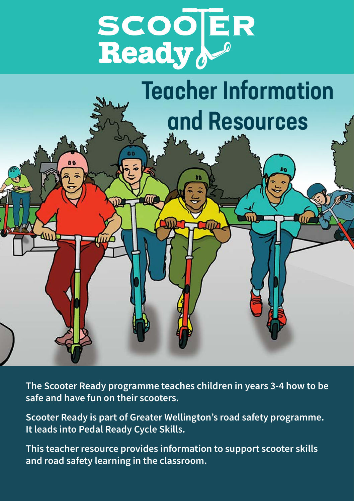



**The Scooter Ready programme teaches children in years 3-4 how to be safe and have fun on their scooters.** 

**Scooter Ready is part of Greater Wellington's road safety programme. It leads into Pedal Ready Cycle Skills.**

**This teacher resource provides information to support scooter skills and road safety learning in the classroom.**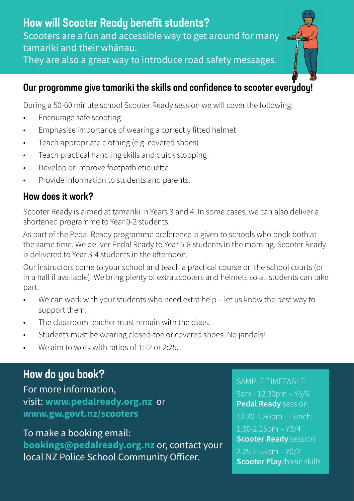# Our programme give tamariki the skills and confidence to scooter everuday!

During a 50-60 minute school Scooter Ready session we will cover the following:

- Encourage safe scooting
- Emphasise importance of wearing a correctly fitted helmet
- Teach appropriate clothing (e.g. covered shoes)
- Teach practical handling skills and quick stopping
- Develop or improve footpath etiquette
- Provide information to students and parents.

# How does it work?

Scooter Ready is aimed at tamariki in Years 3 and 4. In some cases, we can also deliver a shortened programme to Year 0-2 students.

As part of the Pedal Ready programme preference is given to schools who book both at the same time. We deliver Pedal Ready to Year 5-8 students in the morning. Scooter Ready is delivered to Year 3-4 students in the afternoon.

Our instructors come to your school and teach a practical course on the school courts (or in a hall if available). We bring plenty of extra scooters and helmets so all students can take part.

- We can work with your students who need extra help let us know the best way to support them.
- The classroom teacher must remain with the class.
- Students must be wearing closed-toe or covered shoes. No jandals!
- We aim to work with ratios of 1:12 or 2:25.

# How do you book?

For more information, visit: **[www.pedalready.org.nz](http://www.pedalready.org.nz)** or **[www.gw.govt.nz/scooters](http://www.gw.govt.nz/scooters)**

To make a booking email:

**booking[s@pedalready.org.nz](mailto:bookings%40pedalready.org.nz?subject=Scooter%20booking)** or, contact your local NZ Police School Community Officer.

## SAMPLE TIMETABLE:

9am - 12.30pm – Y5/6 **Pedal Ready** session 12.30-1.30pm – Lunch  $1.30 - 2.25$ pm – Y3/4 **Scooter Ready** session  $2.25 - 2.55$ pm – Y0/2 **Scooter Play**/basic skills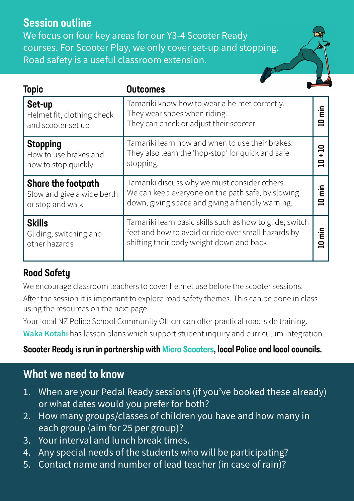# Session outline

We focus on four key areas for our Y3-4 Scooter Ready courses. For Scooter Play, we only cover set-up and stopping. Road safety is a useful classroom extension.

| <b>Topic</b>                                                         | <b>Outcomes</b>                                                                                                                                              |                              |
|----------------------------------------------------------------------|--------------------------------------------------------------------------------------------------------------------------------------------------------------|------------------------------|
| Set-up<br>Helmet fit, clothing check<br>and scooter set up           | Tamariki know how to wear a helmet correctly.<br>They wear shoes when riding.<br>They can check or adjust their scooter.                                     | 'n<br>≘                      |
| <b>Stopping</b><br>How to use brakes and<br>how to stop quickly      | Tamariki learn how and when to use their brakes.<br>They also learn the 'hop-stop' for quick and safe<br>stopping.                                           | ≘<br>≘                       |
| Share the footpath<br>Slow and give a wide berth<br>or stop and walk | Tamariki discuss why we must consider others.<br>We can keep everyone on the path safe, by slowing<br>down, giving space and giving a friendly warning.      |                              |
| <b>Skills</b><br>Gliding, switching and<br>other hazards             | Tamariki learn basic skills such as how to glide, switch<br>feet and how to avoid or ride over small hazards by<br>shifting their body weight down and back. | È<br>$\overline{\mathbf{a}}$ |

# Road Safety

We encourage classroom teachers to cover helmet use before the scooter sessions.

After the session it is important to explore road safety themes. This can be done in class using the resources on the next page.

Your local NZ Police School Community Officer can offer practical road-side training. **[Waka Kotahi](https://education.nzta.govt.nz/teacher-resources/)** has lesson plans which support student inquiry and curriculum integration.

## Scooter Ready is run in partnership with [Micro Scooters,](https://www.microscooters.co.nz/pages/scooter-safety-program) local Police and local councils.

# What we need to know

- 1. When are your Pedal Ready sessions (if you've booked these already) or what dates would you prefer for both?
- 2. How many groups/classes of children you have and how many in each group (aim for 25 per group)?
- 3. Your interval and lunch break times.
- 4. Any special needs of the students who will be participating?
- 5. Contact name and number of lead teacher (in case of rain)?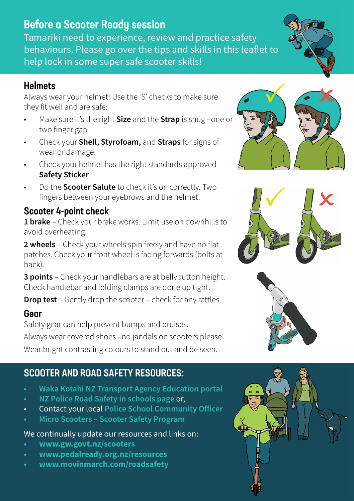## Before a Scooter Ready session

Tamariki need to experience, review and practice safety behaviours. Please go over the tips and skills in this leaflet to help lock in some super safe scooter skills!

### **Helmets**

Always wear your helmet! Use the 'S' checks to make sure they fit well and are safe:

- Make sure it's the right **Size** and the **Strap** is snug one or two finger gap
- Check your **Shell, Styrofoam,** and **Straps** for signs of wear or damage.
- Check your helmet has the right standards approved **Safety Sticker**.
- Do the **Scooter Salute** to check it's on correctly. Two fingers between your eyebrows and the helmet.

## Scooter 4-point check

**1 brake** – Check your brake works. Limit use on downhills to avoid overheating.

**2 wheels** – Check your wheels spin freely and have no flat patches. Check your front wheel is facing forwards (bolts at back).

**3 points** – Check your handlebars are at bellybutton height. Check handlebar and folding clamps are done up tight.

**Drop test** – Gently drop the scooter – check for any rattles.

#### Gear

Safety gear can help prevent bumps and bruises.

Always wear covered shoes - no jandals on scooters please! Wear bright contrasting colours to stand out and be seen.

# SCOOTER AND ROAD SAFETY RESOURCES:

- **• [Waka Kotahi NZ Transport Agency Education portal](https://education.nzta.govt.nz/teacher-resources/)**
- **• [NZ Police Road Safety in schools page](https://www.police.govt.nz/advice-services/personal-and-community-safety/school-portal/resources/travelling-safely/road-safety)** or,
- Contact your local **[Police School Community O](https://www.police.govt.nz/contact-us/stations)fficer**
- **• [Micro Scooters Scooter Safety Program](https://www.microscooters.co.nz/pages/scooter-safety-program)**

#### We continually update our resources and links on:

- **• [www.gw.govt.nz/scooters](http://www.gw.govt.nz/scooters)**
- **• [www.pedalready.org.nz/resources](http://www.pedalready.org.nz/resources )**
- **• [www.movinmarch.com/roadsafety](https://www.movinmarch.com/roadsafety)**









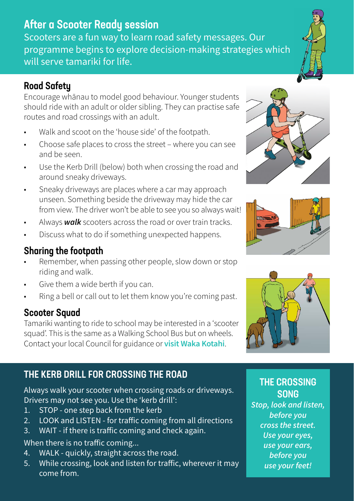# After a Scooter Ready session

Scooters are a fun way to learn road safety messages. Our programme begins to explore decision-making strategies which will serve tamariki for life.

## Road Safety

Encourage whānau to model good behaviour. Younger students should ride with an adult or older sibling. They can practise safe routes and road crossings with an adult.

- Walk and scoot on the 'house side' of the footpath.
- Choose safe places to cross the street where you can see and be seen.
- Use the Kerb Drill (below) both when crossing the road and around sneaky driveways.
- Sneaky driveways are places where a car may approach unseen. Something beside the driveway may hide the car from view. The driver won't be able to see you so always wait!
- Always *walk* scooters across the road or over train tracks.
- Discuss what to do if something unexpected happens.

## Sharing the footpath

- Remember, when passing other people, slow down or stop riding and walk.
- Give them a wide berth if you can.
- Ring a bell or call out to let them know you're coming past.

## Scooter Squad

Tamariki wanting to ride to school may be interested in a 'scooter squad'. This is the same as a Walking School Bus but on wheels. Contact your local Council for guidance or **[visit Waka Kotahi](https://education.nzta.govt.nz/teacher-resources/school-community-partnerships/walking-school-bus/)**.

## THE KERB DRILL FOR CROSSING THE ROAD

Always walk your scooter when crossing roads or driveways. Drivers may not see you. Use the 'kerb drill':

- 1. STOP one step back from the kerb
- 2. LOOK and LISTEN for traffic coming from all directions
- 3. WAIT if there is traffic coming and check again.

#### When there is no traffic coming...

- 4. WALK quickly, straight across the road.
- 5. While crossing, look and listen for traffic, wherever it may come from.







## THE CROSSING **SONG**

*Stop, look and listen, before you cross the street. Use your eyes, use your ears, before you use your feet!*

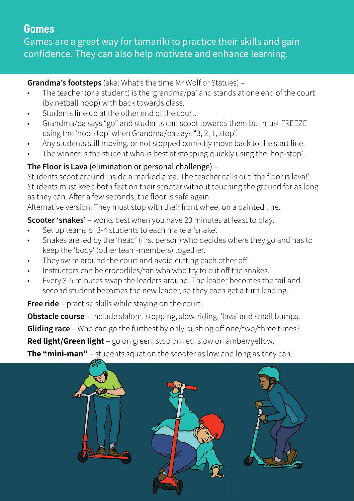# **Games**

Games are a great way for tamariki to practice their skills and gain confidence. They can also help motivate and enhance learning.

**Grandma's footsteps** (aka: What's the time Mr Wolf or Statues) –

- The teacher (or a student) is the 'grandma/pa' and stands at one end of the court (by netball hoop) with back towards class.
- Students line up at the other end of the court.
- Grandma/pa says "go" and students can scoot towards them but must FREEZE using the 'hop-stop' when Grandma/pa says "3, 2, 1, stop".
- Any students still moving, or not stopped correctly move back to the start line.
- The winner is the student who is best at stopping quickly using the 'hop-stop'.

### **The Floor is Lava** (elimination or personal challenge) –

Students scoot around inside a marked area. The teacher calls out 'the floor is lava!'. Students must keep both feet on their scooter without touching the ground for as long as they can. After a few seconds, the floor is safe again.

Alternative version: They must stop with their front wheel on a painted line.

**Scooter 'snakes'** – works best when you have 20 minutes at least to play.

- Set up teams of 3-4 students to each make a 'snake'.
- Snakes are led by the 'head' (first person) who decides where they go and has to keep the 'body' (other team-members) together.
- They swim around the court and avoid cutting each other off.
- Instructors can be crocodiles/taniwha who try to cut off the snakes.
- Every 3-5 minutes swap the leaders around. The leader becomes the tail and second student becomes the new leader, so they each get a turn leading.

**Free ride** – practise skills while staying on the court.

**Obstacle course** – Include slalom, stopping, slow-riding, 'lava' and small bumps. **Gliding race** – Who can go the furthest by only pushing off one/two/three times? **Red light/Green light** – go on green, stop on red, slow on amber/yellow.

**The "mini-man"** – students squat on the scooter as low and long as they can.

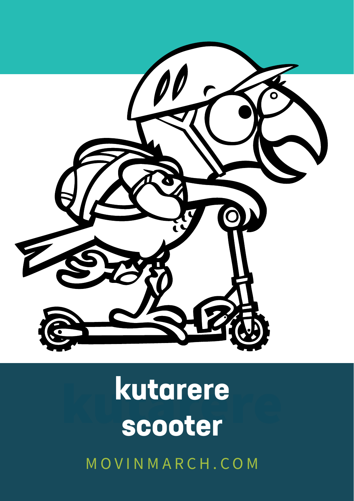

# kutarere **kutarere** MOVINMARCH.COM **scooter**